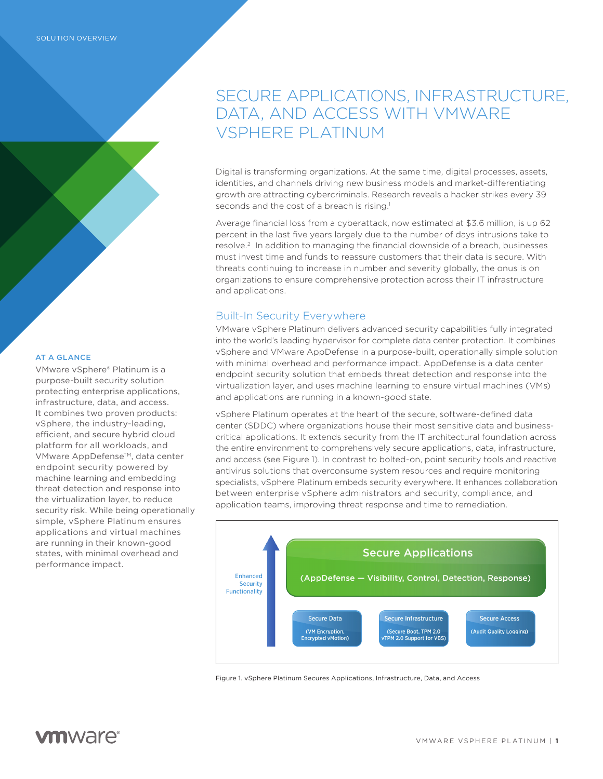#### AT A GLANCE

VMware vSphere® Platinum is a purpose-built security solution protecting enterprise applications, infrastructure, data, and access. It combines two proven products: vSphere, the industry-leading, efficient, and secure hybrid cloud platform for all workloads, and VMware AppDefense<sup>™</sup>, data center endpoint security powered by machine learning and embedding threat detection and response into the virtualization layer, to reduce security risk. While being operationally simple, vSphere Platinum ensures applications and virtual machines are running in their known-good states, with minimal overhead and performance impact.

# SECURE APPLICATIONS, INFRASTRUCTURE, DATA, AND ACCESS WITH VMWARE VSPHERE PLATINUM

Digital is transforming organizations. At the same time, digital processes, assets, identities, and channels driving new business models and market-differentiating growth are attracting cybercriminals. Research reveals a hacker strikes every 39 seconds and the cost of a breach is rising.<sup>1</sup>

Average financial loss from a cyberattack, now estimated at \$3.6 million, is up 62 percent in the last five years largely due to the number of days intrusions take to resolve.2 In addition to managing the financial downside of a breach, businesses must invest time and funds to reassure customers that their data is secure. With threats continuing to increase in number and severity globally, the onus is on organizations to ensure comprehensive protection across their IT infrastructure and applications.

## Built-In Security Everywhere

VMware vSphere Platinum delivers advanced security capabilities fully integrated into the world's leading hypervisor for complete data center protection. It combines vSphere and VMware AppDefense in a purpose-built, operationally simple solution with minimal overhead and performance impact. AppDefense is a data center endpoint security solution that embeds threat detection and response into the virtualization layer, and uses machine learning to ensure virtual machines (VMs) and applications are running in a known-good state.

vSphere Platinum operates at the heart of the secure, software-defined data center (SDDC) where organizations house their most sensitive data and businesscritical applications. It extends security from the IT architectural foundation across the entire environment to comprehensively secure applications, data, infrastructure, and access (see Figure 1). In contrast to bolted-on, point security tools and reactive antivirus solutions that overconsume system resources and require monitoring specialists, vSphere Platinum embeds security everywhere. It enhances collaboration between enterprise vSphere administrators and security, compliance, and application teams, improving threat response and time to remediation.



Figure 1. vSphere Platinum Secures Applications, Infrastructure, Data, and Access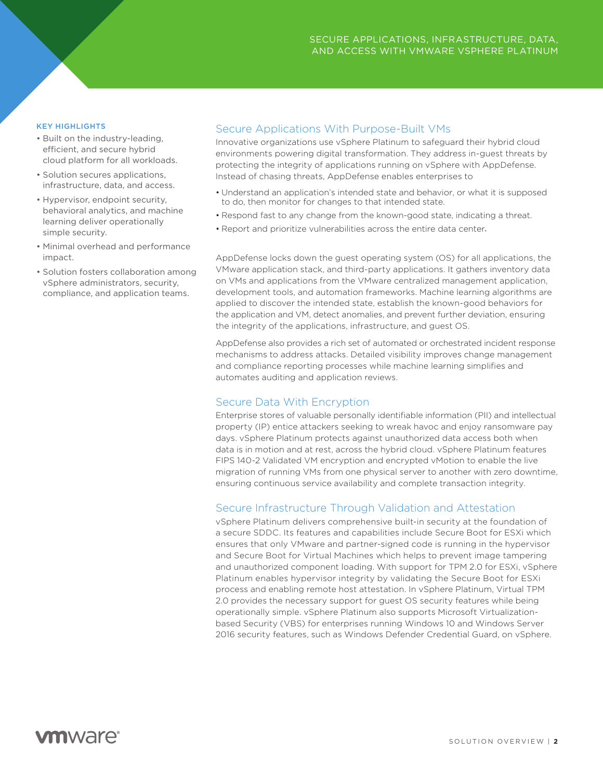#### KEY HIGHLIGHTS

- Built on the industry-leading, efficient, and secure hybrid cloud platform for all workloads.
- Solution secures applications, infrastructure, data, and access.
- Hypervisor, endpoint security, behavioral analytics, and machine learning deliver operationally simple security.
- Minimal overhead and performance impact.
- Solution fosters collaboration among vSphere administrators, security, compliance, and application teams.

## Secure Applications With Purpose-Built VMs

Innovative organizations use vSphere Platinum to safeguard their hybrid cloud environments powering digital transformation. They address in-guest threats by protecting the integrity of applications running on vSphere with AppDefense. Instead of chasing threats, AppDefense enables enterprises to

- Understand an application's intended state and behavior, or what it is supposed to do, then monitor for changes to that intended state.
- Respond fast to any change from the known-good state, indicating a threat.
- Report and prioritize vulnerabilities across the entire data center**.**

AppDefense locks down the guest operating system (OS) for all applications, the VMware application stack, and third-party applications. It gathers inventory data on VMs and applications from the VMware centralized management application, development tools, and automation frameworks. Machine learning algorithms are applied to discover the intended state, establish the known-good behaviors for the application and VM, detect anomalies, and prevent further deviation, ensuring the integrity of the applications, infrastructure, and guest OS.

AppDefense also provides a rich set of automated or orchestrated incident response mechanisms to address attacks. Detailed visibility improves change management and compliance reporting processes while machine learning simplifies and automates auditing and application reviews.

#### Secure Data With Encryption

Enterprise stores of valuable personally identifiable information (PII) and intellectual property (IP) entice attackers seeking to wreak havoc and enjoy ransomware pay days. vSphere Platinum protects against unauthorized data access both when data is in motion and at rest, across the hybrid cloud. vSphere Platinum features FIPS 140-2 Validated VM encryption and encrypted vMotion to enable the live migration of running VMs from one physical server to another with zero downtime, ensuring continuous service availability and complete transaction integrity.

### Secure Infrastructure Through Validation and Attestation

vSphere Platinum delivers comprehensive built-in security at the foundation of a secure SDDC. Its features and capabilities include Secure Boot for ESXi which ensures that only VMware and partner-signed code is running in the hypervisor and Secure Boot for Virtual Machines which helps to prevent image tampering and unauthorized component loading. With support for TPM 2.0 for ESXi, vSphere Platinum enables hypervisor integrity by validating the Secure Boot for ESXi process and enabling remote host attestation. In vSphere Platinum, Virtual TPM 2.0 provides the necessary support for guest OS security features while being operationally simple. vSphere Platinum also supports Microsoft Virtualizationbased Security (VBS) for enterprises running Windows 10 and Windows Server 2016 security features, such as Windows Defender Credential Guard, on vSphere.

## **vm**ware<sup>®</sup>